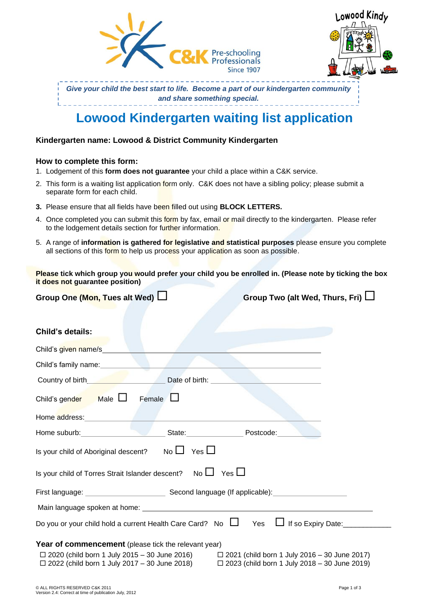



*Give your child the best start to life. Become a part of our kindergarten community and share something special.*

# **Lowood Kindergarten waiting list application**

### **Kindergarten name: Lowood & District Community Kindergarten**

### **How to complete this form:**

- 1. Lodgement of this **form does not guarantee** your child a place within a C&K service.
- 2. This form is a waiting list application form only. C&K does not have a sibling policy; please submit a separate form for each child.
- **3.** Please ensure that all fields have been filled out using **BLOCK LETTERS.**
- 4. Once completed you can submit this form by fax, email or mail directly to the kindergarten. Please refer to the lodgement details section for further information.
- 5. A range of **information is gathered for legislative and statistical purposes** please ensure you complete all sections of this form to help us process your application as soon as possible.

**Please tick which group you would prefer your child you be enrolled in. (Please note by ticking the box it does not guarantee position)** 

| Group One (Mon, Tues alt Wed) $\Box$ |  |  |  |  |
|--------------------------------------|--|--|--|--|
|--------------------------------------|--|--|--|--|

Group Two (alt Wed, Thurs, Fri)  $\Box$ 

## **Child's details:**

| Child's given name/s                                                                                                                                                                                                                                          |
|---------------------------------------------------------------------------------------------------------------------------------------------------------------------------------------------------------------------------------------------------------------|
|                                                                                                                                                                                                                                                               |
| Date of birth:<br>Country of birth <b>Country of birth</b>                                                                                                                                                                                                    |
| Child's gender Male $\Box$<br>Female $\Box$                                                                                                                                                                                                                   |
| Home address: North Management Company                                                                                                                                                                                                                        |
| State: Postcode:<br>Home suburb: North School School School School School School School School School School School School School                                                                                                                             |
| Is your child of Aboriginal descent? No $\Box$ Yes $\Box$                                                                                                                                                                                                     |
| Is your child of Torres Strait Islander descent? No $\Box$ Yes $\Box$                                                                                                                                                                                         |
|                                                                                                                                                                                                                                                               |
|                                                                                                                                                                                                                                                               |
| Yes I If so Expiry Date:<br>Do you or your child hold a current Health Care Card? No $\Box$                                                                                                                                                                   |
| <b>Year of commencement</b> (please tick the relevant year)<br>□ 2020 (child born 1 July 2015 – 30 June 2016) □ 2021 (child born 1 July 2016 – 30 June 2017)<br>□ 2022 (child born 1 July 2017 – 30 June 2018) □ 2023 (child born 1 July 2018 – 30 June 2019) |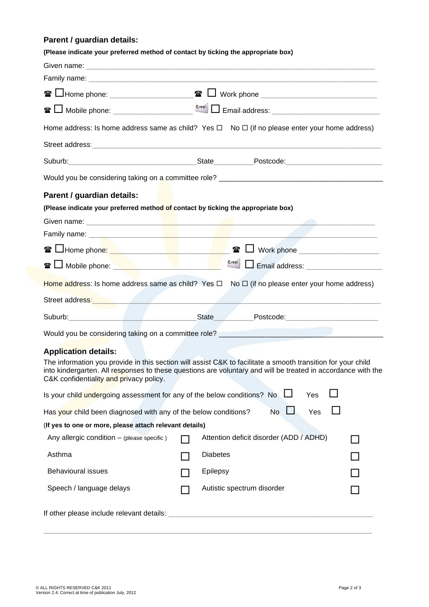# **Parent / guardian details:**

| (Please indicate your preferred method of contact by ticking the appropriate box)                                                                                                                                                                                       |                                         |           |     |                                                |
|-------------------------------------------------------------------------------------------------------------------------------------------------------------------------------------------------------------------------------------------------------------------------|-----------------------------------------|-----------|-----|------------------------------------------------|
|                                                                                                                                                                                                                                                                         |                                         |           |     |                                                |
|                                                                                                                                                                                                                                                                         |                                         |           |     |                                                |
|                                                                                                                                                                                                                                                                         |                                         |           |     |                                                |
|                                                                                                                                                                                                                                                                         |                                         |           |     |                                                |
| Home address: Is home address same as child? Yes $\Box$ No $\Box$ (if no please enter your home address)                                                                                                                                                                |                                         |           |     |                                                |
|                                                                                                                                                                                                                                                                         |                                         |           |     |                                                |
|                                                                                                                                                                                                                                                                         |                                         |           |     |                                                |
|                                                                                                                                                                                                                                                                         |                                         |           |     |                                                |
| Parent / guardian details:                                                                                                                                                                                                                                              |                                         |           |     |                                                |
| (Please indicate your preferred method of contact by ticking the appropriate box)                                                                                                                                                                                       |                                         |           |     |                                                |
|                                                                                                                                                                                                                                                                         |                                         |           |     |                                                |
|                                                                                                                                                                                                                                                                         |                                         |           |     |                                                |
| <b>☎ 凵Home phone: ___________________________</b>                                                                                                                                                                                                                       | $\mathbf{r}$                            |           |     |                                                |
| <b><sup>■</sup>L</b> Mobile phone: <u>【【】</u> 】                                                                                                                                                                                                                         | $E = mail$                              |           |     |                                                |
| Home address: Is home address same as child? Yes $\Box$ No $\Box$ (if no please enter your home address)                                                                                                                                                                |                                         |           |     |                                                |
| Street address: <b>with a street and the street and the street and the street and the street and the street and the street and the street and street and street and street and street and street and street and street and stree</b>                                    |                                         |           |     |                                                |
|                                                                                                                                                                                                                                                                         | <b>State</b>                            |           |     | Postcode: New York Department of the Postcode: |
| Would you be considering taking on a committee role? ____________________________                                                                                                                                                                                       |                                         |           |     |                                                |
| <b>Application details:</b>                                                                                                                                                                                                                                             |                                         |           |     |                                                |
| The information you provide in this section will assist C&K to facilitate a smooth transition for your child<br>into kindergarten. All responses to these questions are voluntary and will be treated in accordance with the<br>C&K confidentiality and privacy policy. |                                         |           |     |                                                |
| Is your child undergoing assessment for any of the below conditions? No                                                                                                                                                                                                 |                                         |           | Yes |                                                |
| Has your child been diagnosed with any of the below conditions?                                                                                                                                                                                                         |                                         | <b>No</b> | Yes |                                                |
| (If yes to one or more, please attach relevant details)                                                                                                                                                                                                                 |                                         |           |     |                                                |
| Any allergic condition - (please specific)                                                                                                                                                                                                                              | Attention deficit disorder (ADD / ADHD) |           |     |                                                |
| Asthma                                                                                                                                                                                                                                                                  | <b>Diabetes</b>                         |           |     |                                                |
| <b>Behavioural issues</b>                                                                                                                                                                                                                                               | Epilepsy                                |           |     |                                                |
| Speech / language delays                                                                                                                                                                                                                                                | Autistic spectrum disorder              |           |     |                                                |

\_\_\_\_\_\_\_\_\_\_\_\_\_\_\_\_\_\_\_\_\_\_\_\_\_\_\_\_\_\_\_\_\_\_\_\_\_\_\_\_\_\_\_\_\_\_\_\_\_\_\_\_\_\_\_\_\_\_\_\_\_\_\_\_\_\_\_\_\_\_\_\_\_\_\_\_\_\_\_\_\_\_

If other please include relevant details: \_\_\_\_\_\_\_\_\_\_\_\_\_\_\_\_\_\_\_\_\_\_\_\_\_\_\_\_\_\_\_\_\_\_\_\_\_\_\_\_\_\_\_\_\_\_\_\_\_\_\_